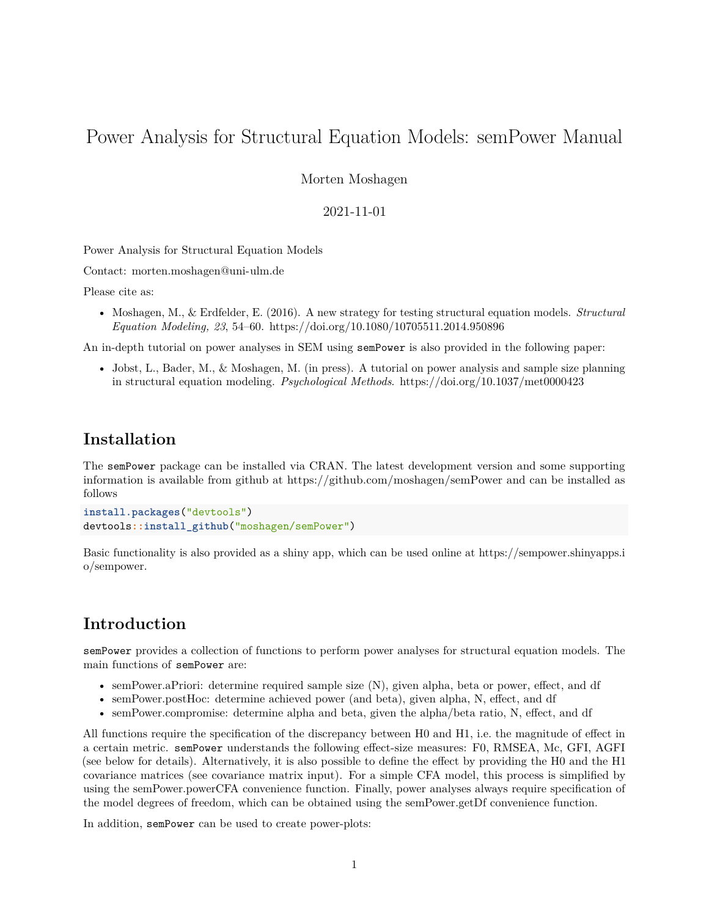# <span id="page-0-0"></span>Power Analysis for Structural Equation Models: semPower Manual

Morten Moshagen

### 2021-11-01

Power Analysis for Structural Equation Models

Contact: [morten.moshagen@uni-ulm.de](mailto:morten.moshagen@uni-ulm.de)

Please cite as:

• Moshagen, M., & Erdfelder, E. (2016). A new strategy for testing structural equation models. *Structural Equation Modeling, 23*, 54–60.<https://doi.org/10.1080/10705511.2014.950896>

An in-depth tutorial on power analyses in SEM using semPower is also provided in the following paper:

• Jobst, L., Bader, M., & Moshagen, M. (in press). A tutorial on power analysis and sample size planning in structural equation modeling. *Psychological Methods*.<https://doi.org/10.1037/met0000423>

## **Installation**

The semPower package can be installed via [CRAN.](https://cran.r-project.org/package=semPower) The latest development version and some supporting information is available from github at<https://github.com/moshagen/semPower> and can be installed as follows

```
install.packages("devtools")
devtools::install_github("moshagen/semPower")
```
Basic functionality is also provided as a shiny app, which can be used online at [https://sempower.shinyapps.i](https://sempower.shinyapps.io/sempower) [o/sempower.](https://sempower.shinyapps.io/sempower)

## **Introduction**

semPower provides a collection of functions to perform power analyses for structural equation models. The main functions of semPower are:

- semPower.aPriori: determine required sample size (N), given alpha, beta or power, effect, and df
- semPower.postHoc: determine achieved power (and beta), given alpha, N, effect, and df
- semPower.compromise: determine alpha and beta, given the alpha/beta ratio, N, effect, and df

All functions require the specification of the discrepancy between H0 and H1, i.e. the magnitude of effect in a certain metric. semPower understands the following effect-size measures: F0, RMSEA, Mc, GFI, AGFI (see below for details). Alternatively, it is also possible to define the effect by providing the H0 and the H1 covariance matrices (see covariance matrix input). For a simple CFA model, this process is simplified by using the semPower.powerCFA convenience function. Finally, power analyses always require specification of the model degrees of freedom, which can be obtained using the semPower.getDf convenience function.

In addition, semPower can be used to create power-plots: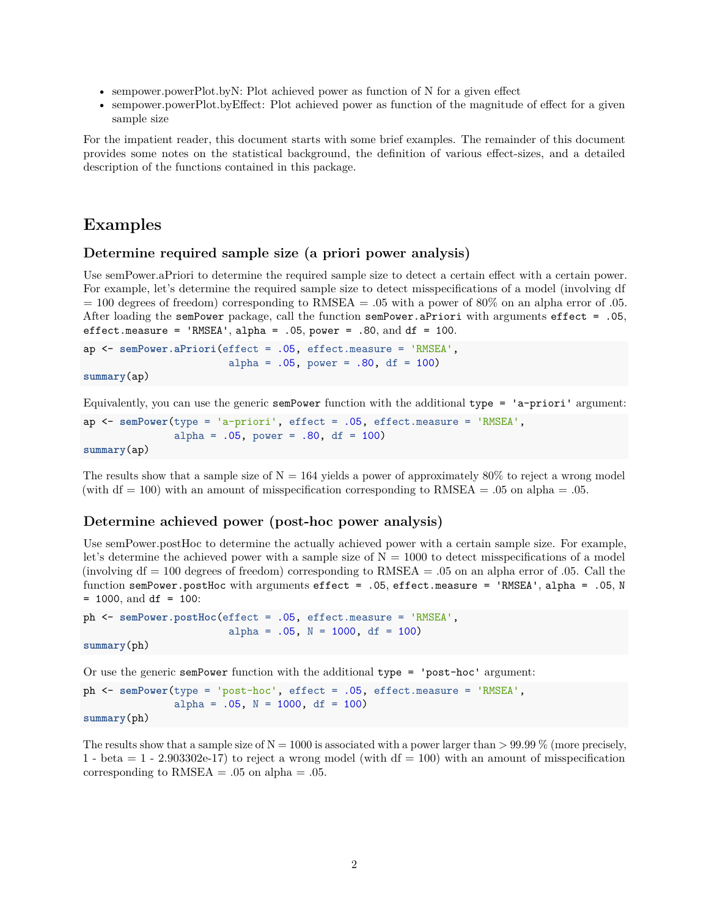- [sempower.powerPlot.byN:](#page-0-0) Plot achieved power as function of N for a given effect
- [sempower.powerPlot.byEffect:](#page-0-0) Plot achieved power as function of the magnitude of effect for a given sample size

For the impatient reader, this document starts with some brief examples. The remainder of this document provides some notes on the statistical background, the definition of various effect-sizes, and a detailed description of the functions contained in this package.

## **Examples**

#### **Determine required sample size (a priori power analysis)**

Use [semPower.aPriori](#page-0-0) to determine the required sample size to detect a certain effect with a certain power. For example, let's determine the required sample size to detect misspecifications of a model (involving df  $= 100$  degrees of freedom) corresponding to RMSEA  $= .05$  with a power of 80% on an alpha error of .05. After loading the semPower package, call the function semPower.aPriori with arguments effect = .05, effect.measure = 'RMSEA', alpha =  $.05$ , power =  $.80$ , and df = 100.

```
ap <- semPower.aPriori(effect = .05, effect.measure = 'RMSEA',
                        alpha = .05, power = .80, df = 100)
```
#### **summary**(ap)

Equivalently, you can use the generic semPower function with the additional type = 'a-priori' argument:

```
ap <- semPower(type = 'a-priori', effect = .05, effect.measure = 'RMSEA',
               alpha = .05, power = .80, df = 100)
summary(ap)
```
The results show that a sample size of  $N = 164$  yields a power of approximately 80% to reject a wrong model (with  $df = 100$ ) with an amount of misspecification corresponding to  $RMSEA = .05$  on alpha = .05.

## **Determine achieved power (post-hoc power analysis)**

Use [semPower.postHoc](#page-0-0) to determine the actually achieved power with a certain sample size. For example, let's determine the achieved power with a sample size of  $N = 1000$  to detect misspecifications of a model (involving  $df = 100$  degrees of freedom) corresponding to RMSEA = .05 on an alpha error of .05. Call the function semPower.postHoc with arguments effect = .05, effect.measure = 'RMSEA', alpha = .05, N  $= 1000$ , and df  $= 100$ :

```
ph <- semPower.postHoc(effect = .05, effect.measure = 'RMSEA',
                        alpha = .05, N = 1000, df = 100)
```
**summary**(ph)

Or use the generic semPower function with the additional type = 'post-hoc' argument:

```
ph <- semPower(type = 'post-hoc', effect = .05, effect.measure = 'RMSEA',
               alpha = .05, N = 1000, df = 100)
summary(ph)
```
The results show that a sample size of  $N = 1000$  is associated with a power larger than  $> 99.99\%$  (more precisely, 1 - beta  $= 1$  - 2.903302e-17) to reject a wrong model (with  $df = 100$ ) with an amount of misspecification corresponding to  $RMSEA = .05$  on alpha =  $.05$ .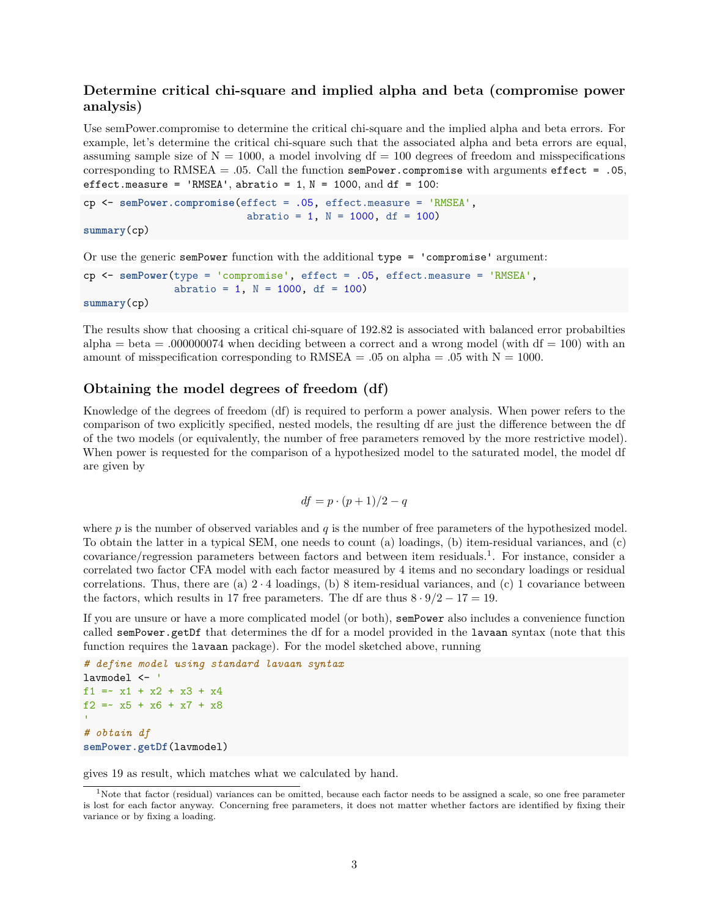## **Determine critical chi-square and implied alpha and beta (compromise power analysis)**

Use [semPower.compromise](#page-0-0) to determine the critical chi-square and the implied alpha and beta errors. For example, let's determine the critical chi-square such that the associated alpha and beta errors are equal, assuming sample size of  $N = 1000$ , a model involving  $df = 100$  degrees of freedom and misspecifications corresponding to RMSEA = .05. Call the function semPower.compromise with arguments effect = .05, effect.measure = 'RMSEA', abratio =  $1$ ,  $N = 1000$ , and  $df = 100$ :

```
cp <- semPower.compromise(effect = .05, effect.measure = 'RMSEA',
                           abratio = 1, N = 1000, df = 100)
```

```
summary(cp)
```
Or use the generic semPower function with the additional  $type = 'compromise' argument:$ 

```
cp <- semPower(type = 'compromise', effect = .05, effect.measure = 'RMSEA',
               abratio = 1, N = 1000, df = 100)
summary(cp)
```
The results show that choosing a critical chi-square of 192.82 is associated with balanced error probabilties  $alpha = beta = .000000074$  when deciding between a correct and a wrong model (with  $df = 100$ ) with an amount of misspecification corresponding to  $RMSEA = .05$  on alpha = .05 with  $N = 1000$ .

### **Obtaining the model degrees of freedom (df)**

Knowledge of the degrees of freedom (df) is required to perform a power analysis. When power refers to the comparison of two explicitly specified, nested models, the resulting df are just the difference between the df of the two models (or equivalently, the number of free parameters removed by the more restrictive model). When power is requested for the comparison of a hypothesized model to the saturated model, the model df are given by

$$
df = p \cdot (p+1)/2 - q
$$

where *p* is the number of observed variables and *q* is the number of free parameters of the hypothesized model. To obtain the latter in a typical SEM, one needs to count (a) loadings, (b) item-residual variances, and (c) covariance/regression parameters between factors and between item residuals.<sup>[1](#page-2-0)</sup>. For instance, consider a correlated two factor CFA model with each factor measured by 4 items and no secondary loadings or residual correlations. Thus, there are (a)  $2 \cdot 4$  loadings, (b) 8 item-residual variances, and (c) 1 covariance between the factors, which results in 17 free parameters. The df are thus  $8 \cdot 9/2 - 17 = 19$ .

If you are unsure or have a more complicated model (or both), semPower also includes a convenience function called semPower.getDf that determines the df for a model provided in the lavaan syntax (note that this function requires the lavaan package). For the model sketched above, running

```
# define model using standard lavaan syntax
lavmodel <- '
f1 = x1 + x2 + x3 + x4f2 = x5 + x6 + x7 + x8# obtain df
semPower.getDf(lavmodel)
```
gives 19 as result, which matches what we calculated by hand.

<span id="page-2-0"></span><sup>&</sup>lt;sup>1</sup>Note that factor (residual) variances can be omitted, because each factor needs to be assigned a scale, so one free parameter is lost for each factor anyway. Concerning free parameters, it does not matter whether factors are identified by fixing their variance or by fixing a loading.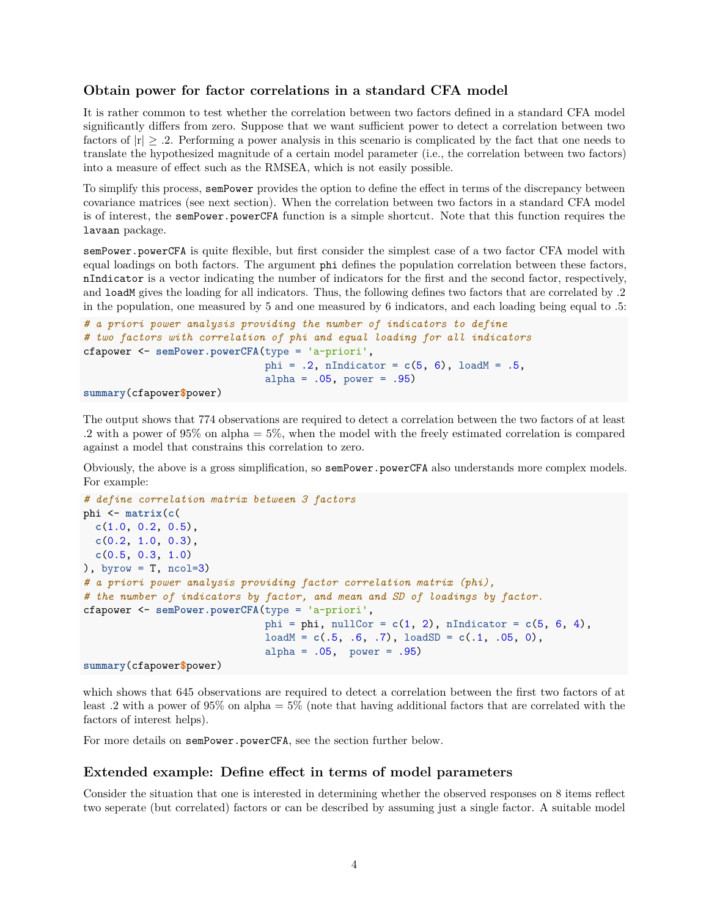#### **Obtain power for factor correlations in a standard CFA model**

It is rather common to test whether the correlation between two factors defined in a standard CFA model significantly differs from zero. Suppose that we want sufficient power to detect a correlation between two factors of  $|r| \geq .2$ . Performing a power analysis in this scenario is complicated by the fact that one needs to translate the hypothesized magnitude of a certain model parameter (i.e., the correlation between two factors) into a measure of effect such as the RMSEA, which is not easily possible.

To simplify this process, semPower provides the option to define the effect in terms of the discrepancy between covariance matrices (see next section). When the correlation between two factors in a standard CFA model is of interest, the semPower.powerCFA function is a simple shortcut. Note that this function requires the lavaan package.

semPower.powerCFA is quite flexible, but first consider the simplest case of a two factor CFA model with equal loadings on both factors. The argument phi defines the population correlation between these factors, nIndicator is a vector indicating the number of indicators for the first and the second factor, respectively, and loadM gives the loading for all indicators. Thus, the following defines two factors that are correlated by .2 in the population, one measured by 5 and one measured by 6 indicators, and each loading being equal to .5:

```
# a priori power analysis providing the number of indicators to define
# two factors with correlation of phi and equal loading for all indicators
cfapower <- semPower.powerCFA(type = 'a-priori',
                              phi = .2, nIndicator = c(5, 6), loadM = .5,
                              alpha = .05, power = .95)
summary(cfapower$power)
```
The output shows that 774 observations are required to detect a correlation between the two factors of at least .2 with a power of 95% on alpha = 5%, when the model with the freely estimated correlation is compared against a model that constrains this correlation to zero.

Obviously, the above is a gross simplification, so semPower.powerCFA also understands more complex models. For example:

```
# define correlation matrix between 3 factors
phi <- matrix(c(
  c(1.0, 0.2, 0.5),
  c(0.2, 1.0, 0.3),
  c(0.5, 0.3, 1.0)
), byrow = T, ncol=3)
# a priori power analysis providing factor correlation matrix (phi),
# the number of indicators by factor, and mean and SD of loadings by factor.
cfapower <- semPower.powerCFA(type = 'a-priori',
                              phi = phi, nullCor = c(1, 2), nIndicator = c(5, 6, 4),
                              loadM = c(.5, .6, .7), loadSD = c(.1, .05, 0),
                              alpha = .05, power = .95)
summary(cfapower$power)
```
which shows that 645 observations are required to detect a correlation between the first two factors of at least .2 with a power of 95% on alpha = 5% (note that having additional factors that are correlated with the factors of interest helps).

For more details on semPower.powerCFA, see the section [further below.](#page-0-0)

#### **Extended example: Define effect in terms of model parameters**

Consider the situation that one is interested in determining whether the observed responses on 8 items reflect two seperate (but correlated) factors or can be described by assuming just a single factor. A suitable model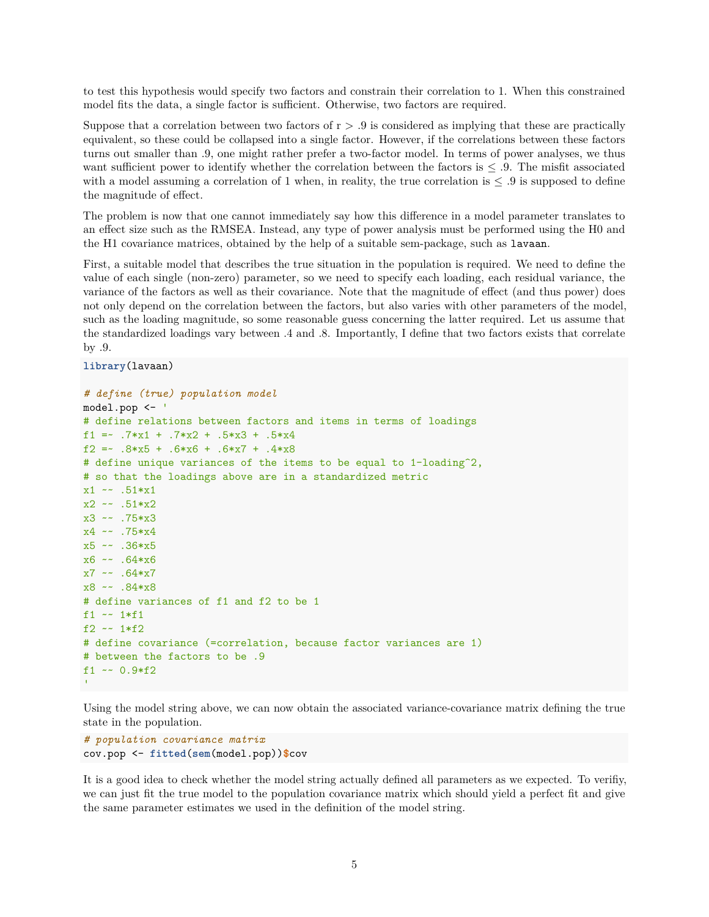to test this hypothesis would specify two factors and constrain their correlation to 1. When this constrained model fits the data, a single factor is sufficient. Otherwise, two factors are required.

Suppose that a correlation between two factors of  $r > .9$  is considered as implying that these are practically equivalent, so these could be collapsed into a single factor. However, if the correlations between these factors turns out smaller than .9, one might rather prefer a two-factor model. In terms of power analyses, we thus want sufficient power to identify whether the correlation between the factors is  $\leq 0.9$ . The misfit associated with a model assuming a correlation of 1 when, in reality, the true correlation is  $\leq$  .9 is supposed to define the magnitude of effect.

The problem is now that one cannot immediately say how this difference in a model parameter translates to an effect size such as the RMSEA. Instead, any type of power analysis must be performed using the [H0 and](#page-0-0) [the H1 covariance matrices,](#page-0-0) obtained by the help of a suitable sem-package, such as lavaan.

First, a suitable model that describes the true situation in the population is required. We need to define the value of each single (non-zero) parameter, so we need to specify each loading, each residual variance, the variance of the factors as well as their covariance. Note that the magnitude of effect (and thus power) does not only depend on the correlation between the factors, but also varies with other parameters of the model, such as the loading magnitude, so some reasonable guess concerning the latter required. Let us assume that the standardized loadings vary between .4 and .8. Importantly, I define that two factors exists that correlate by .9.

**library**(lavaan)

```
# define (true) population model
model.pop <- '
# define relations between factors and items in terms of loadings
f1 =~ .7*x1 + .7*x2 + .5*x3 + .5*x4
f2 =~ .8*x5 + .6*x6 + .6*x7 + .4*x8
# define unique variances of the items to be equal to 1-loading^2,
# so that the loadings above are in a standardized metric
x1 \sim .51*x1x2 \sim .51*x2x3 ~~ .75*x3
x4 ~~ .75*x4
x5 ~~ .36*x5
x6 ~~ .64*x6
x7 - 0.64*x7x8 ~~ .84*x8
# define variances of f1 and f2 to be 1
f1 ~~ 1*f1
f2 ~-~1*f2
# define covariance (=correlation, because factor variances are 1)
# between the factors to be .9
f1 ~- 0.9*f2
```
Using the model string above, we can now obtain the associated variance-covariance matrix defining the true state in the population.

```
# population covariance matrix
cov.pop <- fitted(sem(model.pop))$cov
```
It is a good idea to check whether the model string actually defined all parameters as we expected. To verifiy, we can just fit the true model to the population covariance matrix which should yield a perfect fit and give the same parameter estimates we used in the definition of the model string.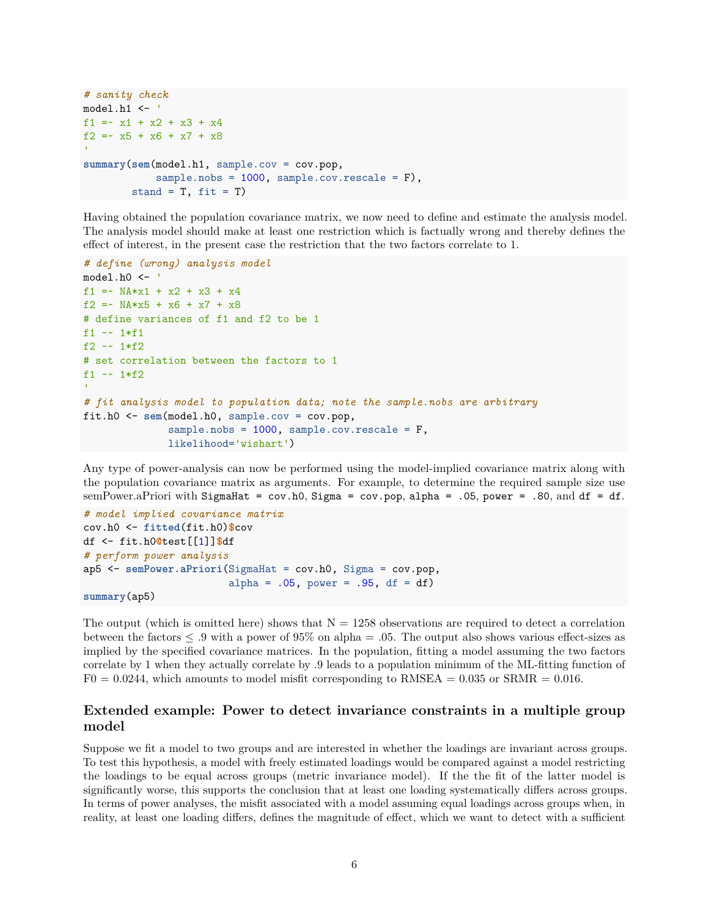```
# sanity check
model.h1 <- '
f1 = x1 + x2 + x3 + x4f2 = x5 + x6 + x7 + x8summary(sem(model.h1, sample.cov = cov.pop,
            sample.nobs = 1000, sample.cov.rescale = F),
        stand = T, fit = T)
```
Having obtained the population covariance matrix, we now need to define and estimate the analysis model. The analysis model should make at least one restriction which is factually wrong and thereby defines the effect of interest, in the present case the restriction that the two factors correlate to 1.

```
# define (wrong) analysis model
model.h0 <- '
f1 = NA*x1 + x2 + x3 + x4f2 =~ NA*x5 + x6 + x7 + x8
# define variances of f1 and f2 to be 1
f1 ~~ 1*f1
f2 ~-~1 *f2
# set correlation between the factors to 1
f1 \sim 1*f2
# fit analysis model to population data; note the sample.nobs are arbitrary
fit.h0 <- sem(model.h0, sample.cov = cov.pop,
              sample.nobs = 1000, sample.cov.rescale = F,
              likelihood='wishart')
```
Any type of power-analysis can now be performed using the model-implied covariance matrix along with the population covariance matrix as arguments. For example, to determine the required sample size use [semPower.aPriori](#page-0-0) with SigmaHat = cov.h0, Sigma = cov.pop, alpha = .05, power = .80, and df = df.

```
# model implied covariance matrix
cov.h0 <- fitted(fit.h0)$cov
df <- fit.h0@test[[1]]$df
# perform power analysis
ap5 <- semPower.aPriori(SigmaHat = cov.h0, Sigma = cov.pop,
                        alpha = .05, power = .95, df = df)
summary(ap5)
```
The output (which is omitted here) shows that  $N = 1258$  observations are required to detect a correlation between the factors  $\leq 0.9$  with a power of 95% on alpha = .05. The output also shows various effect-sizes as implied by the specified covariance matrices. In the population, fitting a model assuming the two factors correlate by 1 when they actually correlate by .9 leads to a population minimum of the ML-fitting function of  $F0 = 0.0244$ , which amounts to model misfit corresponding to RMSEA = 0.035 or SRMR = 0.016.

## **Extended example: Power to detect invariance constraints in a multiple group model**

Suppose we fit a model to two groups and are interested in whether the loadings are invariant across groups. To test this hypothesis, a model with freely estimated loadings would be compared against a model restricting the loadings to be equal across groups (metric invariance model). If the the fit of the latter model is significantly worse, this supports the conclusion that at least one loading systematically differs across groups. In terms of power analyses, the misfit associated with a model assuming equal loadings across groups when, in reality, at least one loading differs, defines the magnitude of effect, which we want to detect with a sufficient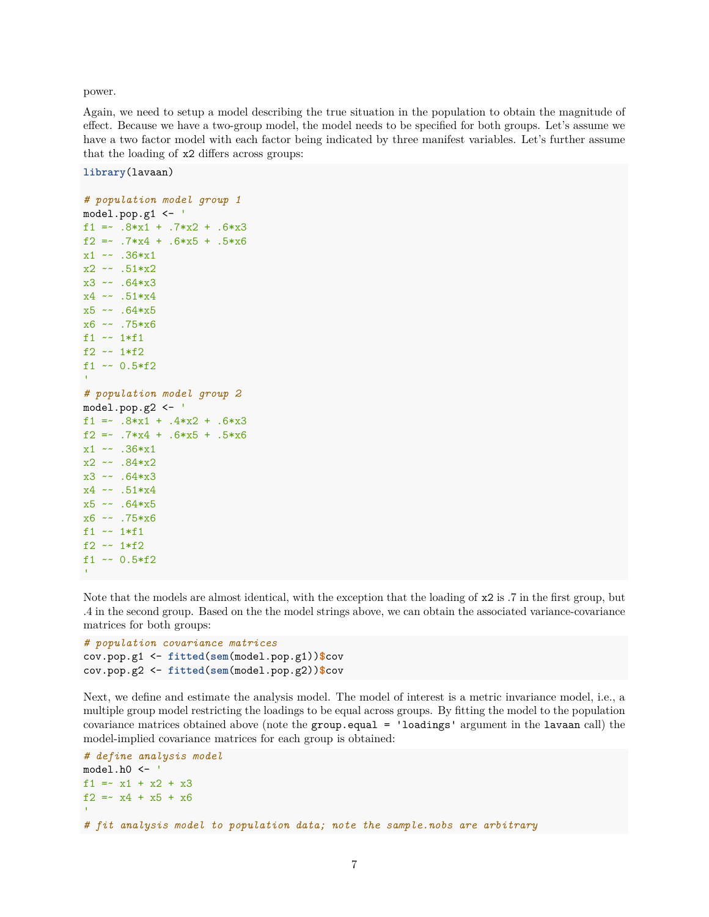power.

Again, we need to setup a model describing the true situation in the population to obtain the magnitude of effect. Because we have a two-group model, the model needs to be specified for both groups. Let's assume we have a two factor model with each factor being indicated by three manifest variables. Let's further assume that the loading of x2 differs across groups:

**library**(lavaan)

```
# population model group 1
model.pop.g1 <- '
f1 = -.8*x1 + .7*x2 + .6*x3f2 =~ .7*x4 + .6*x5 + .5*x6
x1 \sim .36*x1x2 \sim .51*x2x3 ~~ .64*x3
x4 ~~ .51*x4
x5 ~~ .64*x5
x6 ~~ .75*x6
f1 ~~ 1*f1
f2 ~~ 1*f2
f1 ~~ 0.5*f2
# population model group 2
model.pop.g2 <- '
f1 = -8*x1 + .4*x2 + .6*x3f2 =~ .7*x4 + .6*x5 + .5*x6
x1 ~~ .36*x1
x2 \sim .84*x2x3 ~~ .64*x3
x4 ~~ .51*x4
x5 ~~ .64*x5
x6 ~~ .75*x6
f1 ~~ 1*f1
f2 ~~ 1*f2
f1 ~~ 0.5*f2
```
Note that the models are almost identical, with the exception that the loading of x2 is .7 in the first group, but .4 in the second group. Based on the the model strings above, we can obtain the associated variance-covariance matrices for both groups:

```
# population covariance matrices
cov.pop.g1 <- fitted(sem(model.pop.g1))$cov
cov.pop.g2 <- fitted(sem(model.pop.g2))$cov
```
Next, we define and estimate the analysis model. The model of interest is a metric invariance model, i.e., a multiple group model restricting the loadings to be equal across groups. By fitting the model to the population covariance matrices obtained above (note the group.equal = 'loadings' argument in the lavaan call) the model-implied covariance matrices for each group is obtained:

```
# define analysis model
model.h0 <- '
f1 = x1 + x2 + x3f2 =~ x4 + x5 + x6
\mathbf{r}# fit analysis model to population data; note the sample.nobs are arbitrary
```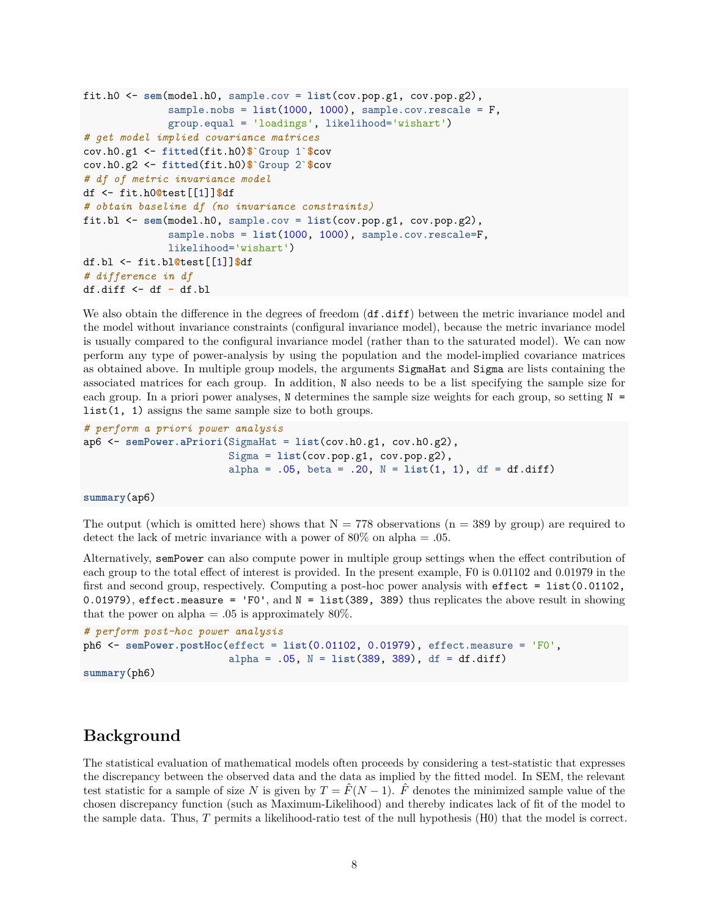```
fit.h0 <- sem(model.h0, sample.cov = list(cov.pop.g1, cov.pop.g2),
              sample.nobs = list(1000, 1000), sample.cov.rescale = F,
              group.equal = 'loadings', likelihood='wishart')
# get model implied covariance matrices
cov.h0.g1 <- fitted(fit.h0)$`Group 1`$cov
cov.h0.g2 <- fitted(fit.h0)$`Group 2`$cov
# df of metric invariance model
df <- fit.h0@test[[1]]$df
# obtain baseline df (no invariance constraints)
fit.bl <- sem(model.h0, sample.cov = list(cov.pop.g1, cov.pop.g2),
              sample.nobs = list(1000, 1000), sample.cov.rescale=F,
              likelihood='wishart')
df.bl <- fit.bl@test[[1]]$df
# difference in df
df.diff <- df - df.bl
```
We also obtain the difference in the degrees of freedom  $(df.diff)$  between the metric invariance model and the model without invariance constraints (configural invariance model), because the metric invariance model is usually compared to the configural invariance model (rather than to the saturated model). We can now perform any type of power-analysis by using the population and the model-implied covariance matrices as obtained above. In multiple group models, the arguments SigmaHat and Sigma are lists containing the associated matrices for each group. In addition, N also needs to be a list specifying the sample size for each group. In a priori power analyses, N determines the sample size weights for each group, so setting  $N =$ list(1, 1) assigns the same sample size to both groups.

```
# perform a priori power analysis
ap6 <- semPower.aPriori(SigmaHat = list(cov.h0.g1, cov.h0.g2),
                        Sigma = list(cov.pop.g1, cov.pop.g2),
                        alpha = .05, beta = .20, N = list(1, 1), df = df.diff)
```
**summary**(ap6)

The output (which is omitted here) shows that  $N = 778$  observations (n = 389 by group) are required to detect the lack of metric invariance with a power of  $80\%$  on alpha = .05.

Alternatively, semPower can also compute power in multiple group settings when the effect contribution of each group to the total effect of interest is provided. In the present example, F0 is 0.01102 and 0.01979 in the first and second group, respectively. Computing a post-hoc power analysis with effect = list(0.01102, 0.01979), effect.measure = 'F0', and  $N = 1$ ist(389, 389) thus replicates the above result in showing that the power on alpha  $= .05$  is approximately 80%.

```
# perform post-hoc power analysis
ph6 <- semPower.postHoc(effect = list(0.01102, 0.01979), effect.measure = 'F0',
                        alpha = .05, N = list(389, 389), df = df.diff)
summary(ph6)
```
## **Background**

The statistical evaluation of mathematical models often proceeds by considering a test-statistic that expresses the discrepancy between the observed data and the data as implied by the fitted model. In SEM, the relevant test statistic for a sample of size *N* is given by  $T = \hat{F}(N-1)$ .  $\hat{F}$  denotes the minimized sample value of the chosen discrepancy function (such as Maximum-Likelihood) and thereby indicates lack of fit of the model to the sample data. Thus, *T* permits a likelihood-ratio test of the null hypothesis (H0) that the model is correct.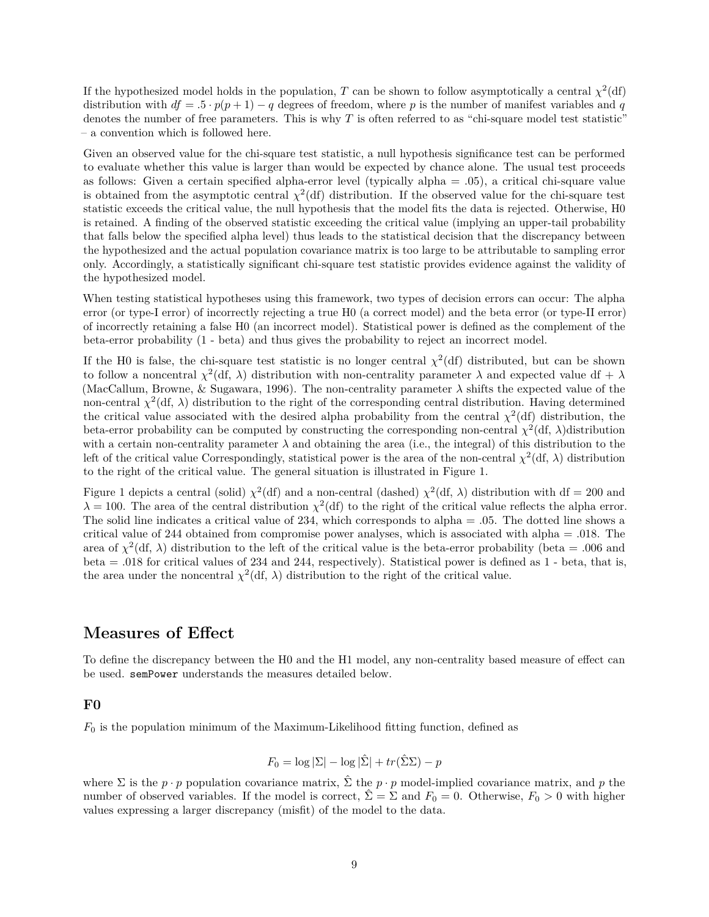If the hypothesized model holds in the population, *T* can be shown to follow asymptotically a central  $\chi^2(\text{df})$ distribution with  $df = .5 \cdot p(p+1) - q$  degrees of freedom, where *p* is the number of manifest variables and *q* denotes the number of free parameters. This is why *T* is often referred to as "chi-square model test statistic" – a convention which is followed here.

Given an observed value for the chi-square test statistic, a null hypothesis significance test can be performed to evaluate whether this value is larger than would be expected by chance alone. The usual test proceeds as follows: Given a certain specified alpha-error level (typically alpha  $= .05$ ), a critical chi-square value is obtained from the asymptotic central  $\chi^2$ (df) distribution. If the observed value for the chi-square test statistic exceeds the critical value, the null hypothesis that the model fits the data is rejected. Otherwise, H0 is retained. A finding of the observed statistic exceeding the critical value (implying an upper-tail probability that falls below the specified alpha level) thus leads to the statistical decision that the discrepancy between the hypothesized and the actual population covariance matrix is too large to be attributable to sampling error only. Accordingly, a statistically significant chi-square test statistic provides evidence against the validity of the hypothesized model.

When testing statistical hypotheses using this framework, two types of decision errors can occur: The alpha error (or type-I error) of incorrectly rejecting a true H0 (a correct model) and the beta error (or type-II error) of incorrectly retaining a false H0 (an incorrect model). Statistical power is defined as the complement of the beta-error probability (1 - beta) and thus gives the probability to reject an incorrect model.

If the H0 is false, the chi-square test statistic is no longer central  $\chi^2(\text{df})$  distributed, but can be shown to follow a noncentral  $\chi^2(\text{df}, \lambda)$  distribution with non-centrality parameter  $\lambda$  and expected value df +  $\lambda$ (MacCallum, Browne, & Sugawara, 1996). The non-centrality parameter  $\lambda$  shifts the expected value of the non-central  $\chi^2(\text{df}, \lambda)$  distribution to the right of the corresponding central distribution. Having determined the critical value associated with the desired alpha probability from the central  $\chi^2$ (df) distribution, the beta-error probability can be computed by constructing the corresponding non-central  $\chi^2(\text{df}, \lambda)$ distribution with a certain non-centrality parameter  $\lambda$  and obtaining the area (i.e., the integral) of this distribution to the left of the critical value Correspondingly, statistical power is the area of the non-central  $\chi^2(\text{df}, \lambda)$  distribution to the right of the critical value. The general situation is illustrated in Figure 1.

Figure 1 depicts a central (solid)  $\chi^2$ (df) and a non-central (dashed)  $\chi^2$ (df,  $\lambda$ ) distribution with df = 200 and  $\lambda = 100$ . The area of the central distribution  $\chi^2$  (df) to the right of the critical value reflects the alpha error. The solid line indicates a critical value of 234, which corresponds to alpha = .05. The dotted line shows a critical value of 244 obtained from compromise power analyses, which is associated with alpha = .018. The area of  $\chi^2(\text{df}, \lambda)$  distribution to the left of the critical value is the beta-error probability (beta = .006 and beta = .018 for critical values of 234 and 244, respectively). Statistical power is defined as 1 - beta, that is, the area under the noncentral  $\chi^2(\text{df}, \lambda)$  distribution to the right of the critical value.

## **Measures of Effect**

To define the discrepancy between the H0 and the H1 model, any non-centrality based measure of effect can be used. semPower understands the measures detailed below.

#### **F0**

*F*<sup>0</sup> is the population minimum of the Maximum-Likelihood fitting function, defined as

$$
F_0 = \log |\Sigma| - \log |\hat{\Sigma}| + tr(\hat{\Sigma}\Sigma) - p
$$

where  $\Sigma$  is the  $p \cdot p$  population covariance matrix,  $\hat{\Sigma}$  the  $p \cdot p$  model-implied covariance matrix, and  $p$  the number of observed variables. If the model is correct,  $\hat{\Sigma} = \Sigma$  and  $F_0 = 0$ . Otherwise,  $F_0 > 0$  with higher values expressing a larger discrepancy (misfit) of the model to the data.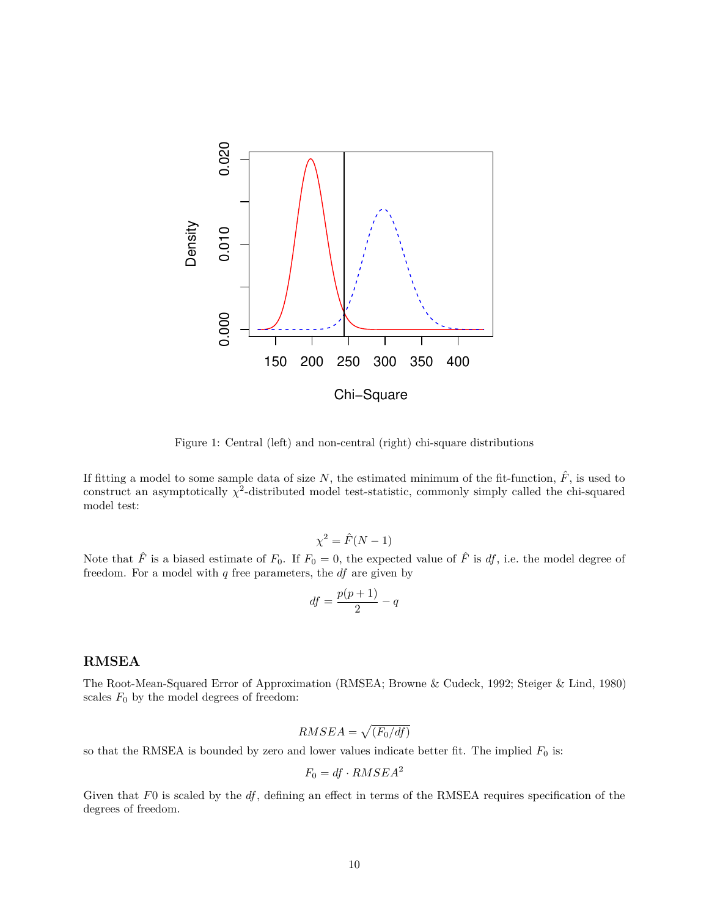

Figure 1: Central (left) and non-central (right) chi-square distributions

If fitting a model to some sample data of size  $N$ , the estimated minimum of the fit-function,  $\hat{F}$ , is used to construct an asymptotically  $\chi^2$ -distributed model test-statistic, commonly simply called the chi-squared model test:

$$
\chi^2 = \hat{F}(N-1)
$$

Note that  $\hat{F}$  is a biased estimate of  $F_0$ . If  $F_0 = 0$ , the expected value of  $\hat{F}$  is  $df$ , i.e. the model degree of freedom. For a model with *q* free parameters, the *df* are given by

$$
df = \frac{p(p+1)}{2} - q
$$

#### **RMSEA**

The Root-Mean-Squared Error of Approximation (RMSEA; Browne & Cudeck, 1992; Steiger & Lind, 1980) scales  $F_0$  by the model degrees of freedom:

$$
RMSEA = \sqrt{(F_0/df)}
$$

so that the RMSEA is bounded by zero and lower values indicate better fit. The implied  $F_0$  is:

$$
F_0 = df \cdot RMSEA^2
$$

Given that *F*0 is scaled by the *df*, defining an effect in terms of the RMSEA requires specification of the degrees of freedom.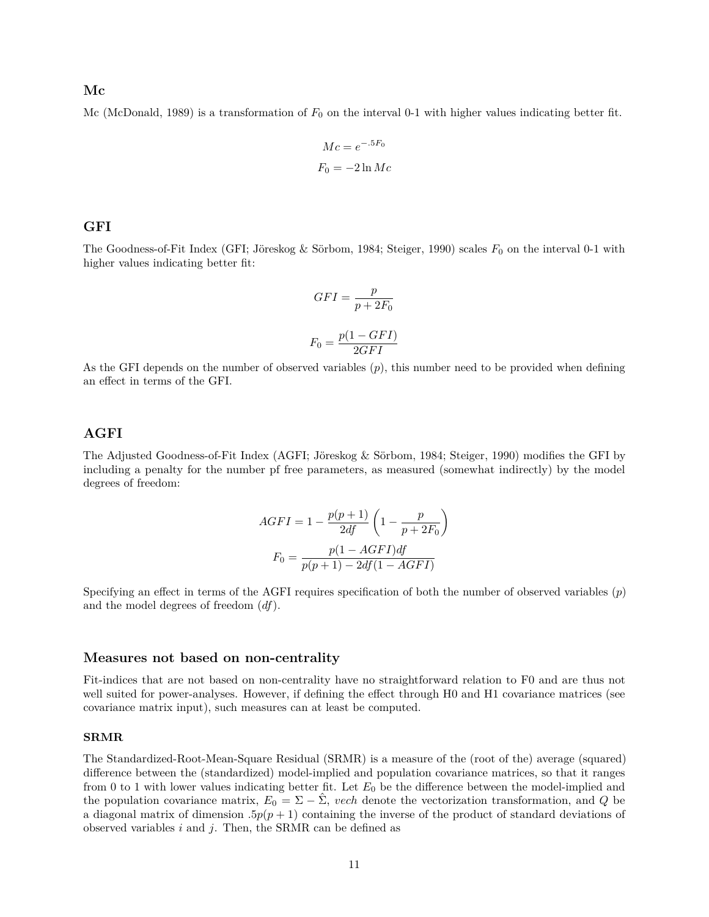#### **Mc**

Mc (McDonald, 1989) is a transformation of  $F_0$  on the interval 0-1 with higher values indicating better fit.

$$
Mc = e^{-.5F_0}
$$

$$
F_0 = -2 \ln Mc
$$

#### **GFI**

The Goodness-of-Fit Index (GFI; Jöreskog & Sörbom, 1984; Steiger, 1990) scales  $F_0$  on the interval 0-1 with higher values indicating better fit:

$$
GFI = \frac{p}{p + 2F_0}
$$

$$
F_0 = \frac{p(1 - GFI)}{2GFI}
$$

As the GFI depends on the number of observed variables (*p*), this number need to be provided when defining an effect in terms of the GFI.

#### **AGFI**

The Adjusted Goodness-of-Fit Index (AGFI; Jöreskog & Sörbom, 1984; Steiger, 1990) modifies the GFI by including a penalty for the number pf free parameters, as measured (somewhat indirectly) by the model degrees of freedom:

$$
AGFI = 1 - \frac{p(p+1)}{2df} \left( 1 - \frac{p}{p+2F_0} \right)
$$

$$
F_0 = \frac{p(1 - AGFI)df}{p(p+1) - 2df(1 - AGFI)}
$$

Specifying an effect in terms of the AGFI requires specification of both the number of observed variables (*p*) and the model degrees of freedom (*df*).

#### **Measures not based on non-centrality**

Fit-indices that are not based on non-centrality have no straightforward relation to F0 and are thus not well suited for power-analyses. However, if defining the effect through H0 and H1 covariance matrices (see [covariance matrix input\)](#page-0-0), such measures can at least be computed.

#### **SRMR**

The Standardized-Root-Mean-Square Residual (SRMR) is a measure of the (root of the) average (squared) difference between the (standardized) model-implied and population covariance matrices, so that it ranges from 0 to 1 with lower values indicating better fit. Let  $E_0$  be the difference between the model-implied and the population covariance matrix,  $E_0 = \Sigma - \hat{\Sigma}$ , *vech* denote the vectorization transformation, and *Q* be a diagonal matrix of dimension  $.5p(p+1)$  containing the inverse of the product of standard deviations of observed variables *i* and *j*. Then, the SRMR can be defined as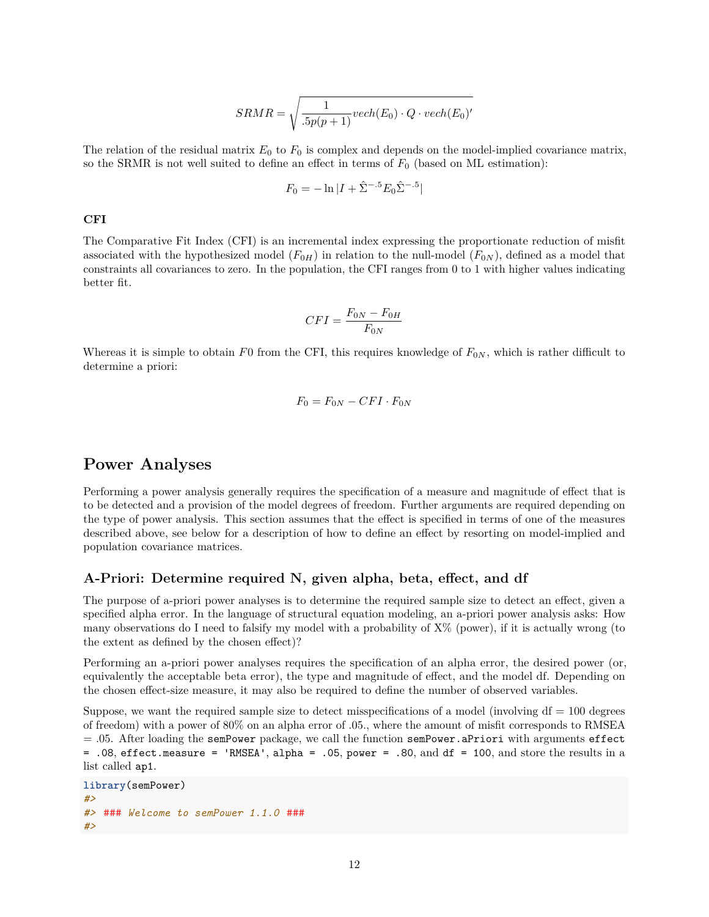$$
SRMR = \sqrt{\frac{1}{.5p(p+1)}\text{vech}(E_0) \cdot Q \cdot \text{vech}(E_0)'}
$$

The relation of the residual matrix  $E_0$  to  $F_0$  is complex and depends on the model-implied covariance matrix, so the SRMR is not well suited to define an effect in terms of *F*<sup>0</sup> (based on ML estimation):

$$
F_0 = -\ln|I + \hat{\Sigma}^{-.5}E_0\hat{\Sigma}^{-.5}|
$$

#### **CFI**

The Comparative Fit Index (CFI) is an incremental index expressing the proportionate reduction of misfit associated with the hypothesized model  $(F_{0H})$  in relation to the null-model  $(F_{0N})$ , defined as a model that constraints all covariances to zero. In the population, the CFI ranges from 0 to 1 with higher values indicating better fit.

$$
CFI = \frac{F_{0N} - F_{0H}}{F_{0N}}
$$

Whereas it is simple to obtain  $F0$  from the CFI, this requires knowledge of  $F_{0N}$ , which is rather difficult to determine a priori:

$$
F_0 = F_{0N} - CFI \cdot F_{0N}
$$

## **Power Analyses**

Performing a power analysis generally requires the specification of a measure and magnitude of effect that is to be detected and a provision of the model degrees of freedom. Further arguments are required depending on the type of power analysis. This section assumes that the effect is specified in terms of one of the measures described above, [see below](#page-0-0) for a description of how to define an effect by resorting on model-implied and population covariance matrices.

#### **A-Priori: Determine required N, given alpha, beta, effect, and df**

The purpose of a-priori power analyses is to determine the required sample size to detect an effect, given a specified alpha error. In the language of structural equation modeling, an a-priori power analysis asks: How many observations do I need to falsify my model with a probability of X% (power), if it is actually wrong (to the extent as defined by the chosen effect)?

Performing an a-priori power analyses requires the specification of an alpha error, the desired power (or, equivalently the acceptable beta error), the type and magnitude of effect, and the model df. Depending on the chosen effect-size measure, it may also be required to define the number of observed variables.

Suppose, we want the required sample size to detect misspecifications of a model (involving  $df = 100$  degrees of freedom) with a power of 80% on an alpha error of .05., where the amount of misfit corresponds to RMSEA  $= .05$ . After loading the semPower package, we call the function semPower.aPriori with arguments effect = .08, effect.measure = 'RMSEA', alpha = .05, power = .80, and df = 100, and store the results in a list called ap1.

```
library(semPower)
#>
#> ### Welcome to semPower 1.1.0 ###
#>
```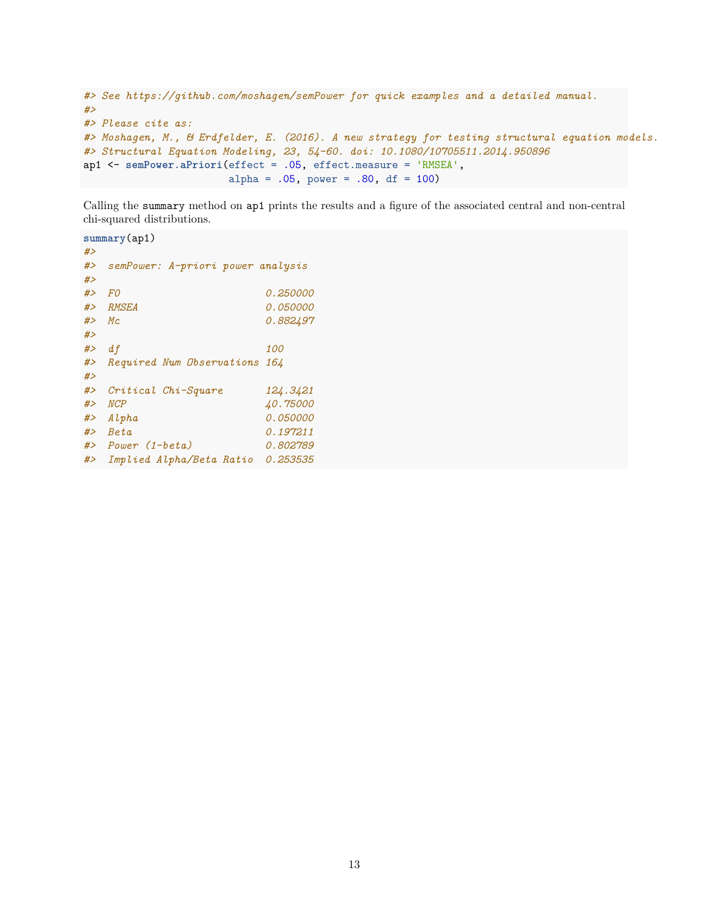```
#> See https://github.com/moshagen/semPower for quick examples and a detailed manual.
#>
#> Please cite as:
#> Moshagen, M., & Erdfelder, E. (2016). A new strategy for testing structural equation models.
#> Structural Equation Modeling, 23, 54-60. doi: 10.1080/10705511.2014.950896
ap1 <- semPower.aPriori(effect = .05, effect.measure = 'RMSEA',
                        alpha = .05, power = .80, df = 100)
```
Calling the summary method on ap1 prints the results and a figure of the associated central and non-central chi-squared distributions.

**summary**(ap1) *#> #> semPower: A-priori power analysis #> #> F0 0.250000 #> RMSEA 0.050000 #> Mc 0.882497 #> #> df 100 #> Required Num Observations 164 #> #> Critical Chi-Square 124.3421 #> NCP 40.75000 #> Alpha 0.050000 #> Beta 0.197211 #> Power (1-beta) 0.802789 #> Implied Alpha/Beta Ratio 0.253535*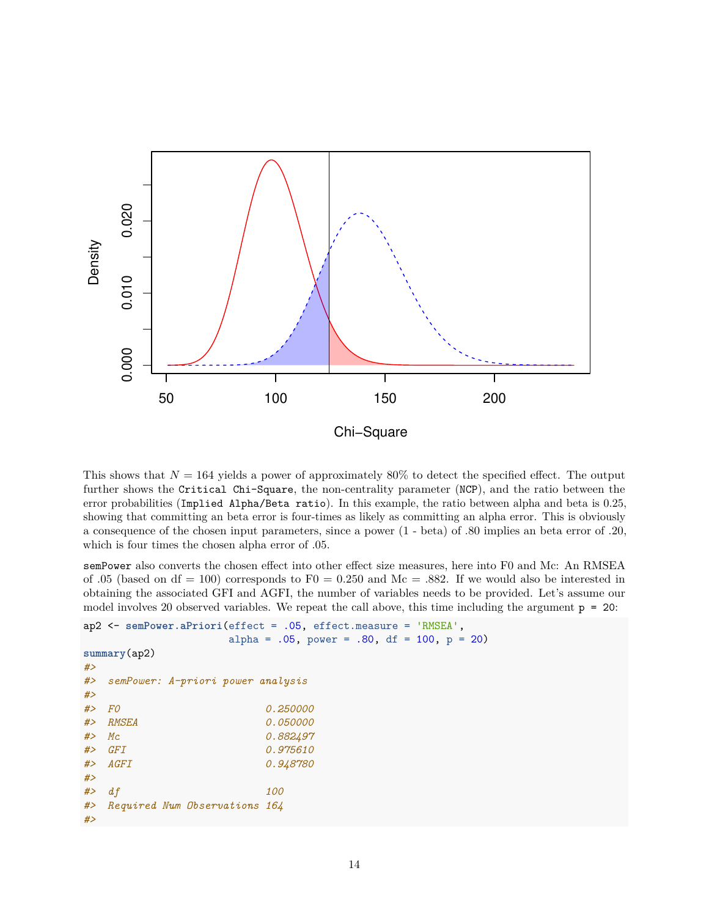

This shows that  $N = 164$  yields a power of approximately 80% to detect the specified effect. The output further shows the Critical Chi-Square, the non-centrality parameter (NCP), and the ratio between the error probabilities (Implied Alpha/Beta ratio). In this example, the ratio between alpha and beta is 0.25, showing that committing an beta error is four-times as likely as committing an alpha error. This is obviously a consequence of the chosen input parameters, since a power (1 - beta) of .80 implies an beta error of .20, which is four times the chosen alpha error of .05.

semPower also converts the chosen effect into other effect size measures, here into F0 and Mc: An RMSEA of .05 (based on df = 100) corresponds to  $F0 = 0.250$  and Mc = .882. If we would also be interested in obtaining the associated GFI and AGFI, the number of variables needs to be provided. Let's assume our model involves 20 observed variables. We repeat the call above, this time including the argument  $p = 20$ :

```
ap2 <- semPower.aPriori(effect = .05, effect.measure = 'RMSEA',
                alpha = .05, power = .80, df = 100, p = 20)
summary(ap2)
#>
#> semPower: A-priori power analysis
#>
#> F0 0.250000
#> RMSEA 0.050000
#> Mc 0.882497
#> GFI 0.975610
#> AGFI 0.948780
#>
#> df 100
#> Required Num Observations 164
#>
```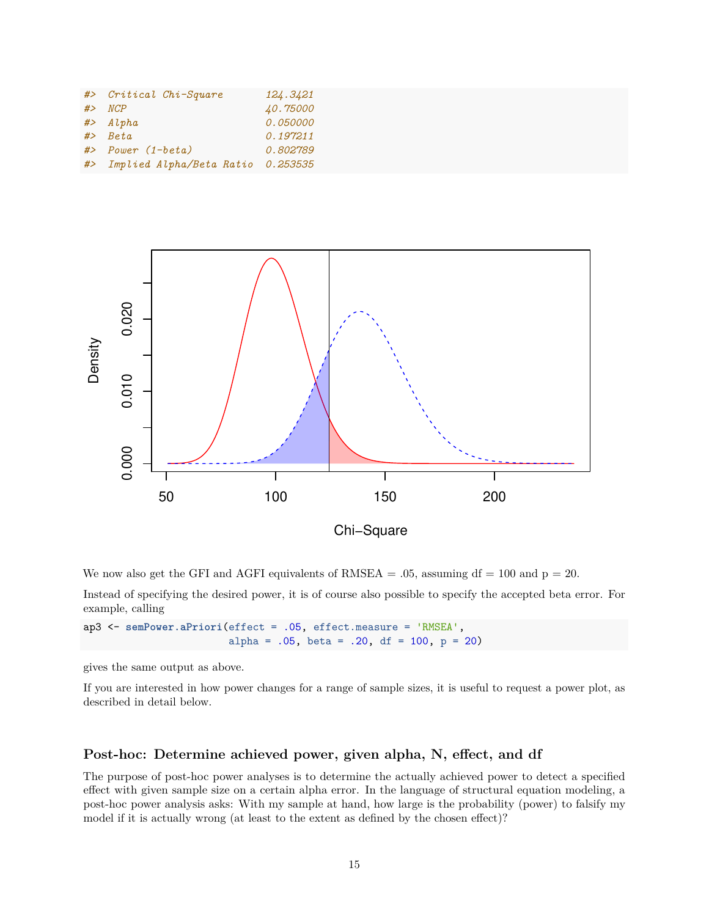| #> Critical Chi-Square               | 124.3421                    |
|--------------------------------------|-----------------------------|
| $# >$ NCP<br>$#$ > Alpha             | 40.75000<br><i>0.050000</i> |
| $#$ > Beta                           | 0.197211                    |
| $#$ > Power $(1-beta)$               | <i>0.802789</i>             |
| #> Implied Alpha/Beta Ratio 0.253535 |                             |



We now also get the GFI and AGFI equivalents of RMSEA  $= .05$ , assuming df  $= 100$  and  $p = 20$ .

Instead of specifying the desired power, it is of course also possible to specify the accepted beta error. For example, calling

ap3 <- **semPower.aPriori**(effect = .05, effect.measure = 'RMSEA', alpha =  $.05$ , beta =  $.20$ , df = 100, p = 20)

gives the same output as above.

If you are interested in how power changes for a range of sample sizes, it is useful to request a [power plot,](#page-0-0) as described in detail [below.](#page-0-0)

#### **Post-hoc: Determine achieved power, given alpha, N, effect, and df**

The purpose of post-hoc power analyses is to determine the actually achieved power to detect a specified effect with given sample size on a certain alpha error. In the language of structural equation modeling, a post-hoc power analysis asks: With my sample at hand, how large is the probability (power) to falsify my model if it is actually wrong (at least to the extent as defined by the chosen effect)?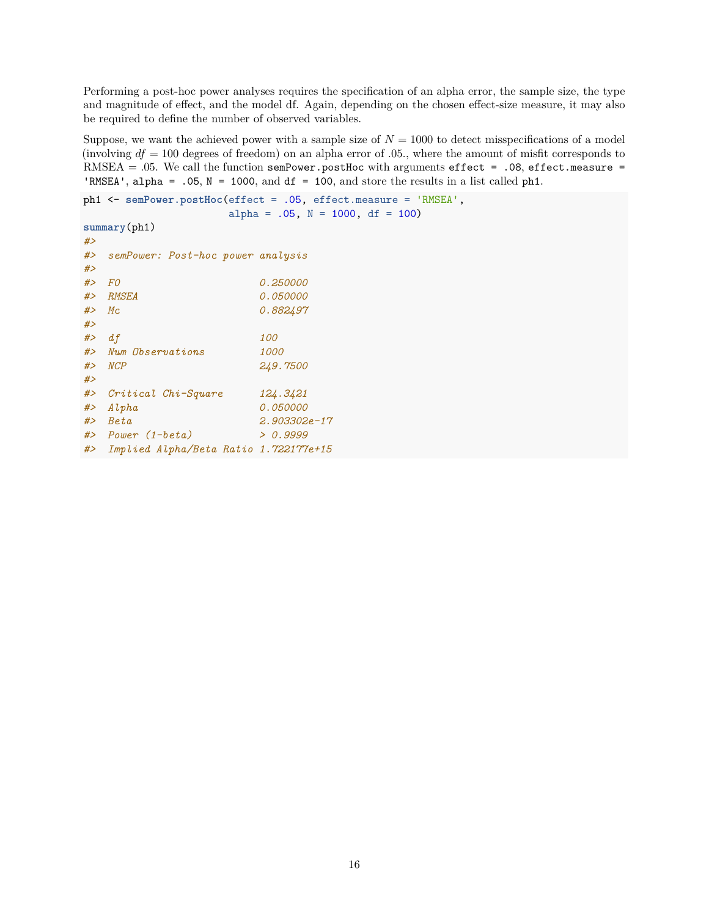Performing a post-hoc power analyses requires the specification of an alpha error, the sample size, the type and magnitude of effect, and the model df. Again, depending on the chosen effect-size measure, it may also be required to define the number of observed variables.

Suppose, we want the achieved power with a sample size of  $N = 1000$  to detect misspecifications of a model (involving  $df = 100$  degrees of freedom) on an alpha error of .05., where the amount of misfit corresponds to RMSEA = .05. We call the function semPower.postHoc with arguments effect = .08, effect.measure = 'RMSEA', alpha =  $.05$ , N = 1000, and df = 100, and store the results in a list called ph1.

```
ph1 <- semPower.postHoc(effect = .05, effect.measure = 'RMSEA',
                alpha = .05, N = 1000, df = 100)
summary(ph1)
#>
#> semPower: Post-hoc power analysis
#>
 #> F0 0.250000
#> RMSEA 0.050000
#> Mc 0.882497
#>
#> df 100
#> Num Observations 1000
#> NCP 249.7500
#>
#> Critical Chi-Square 124.3421
#> Alpha 0.050000
#> Beta 2.903302e-17
#> Power (1-beta) > 0.9999
#> Implied Alpha/Beta Ratio 1.722177e+15
```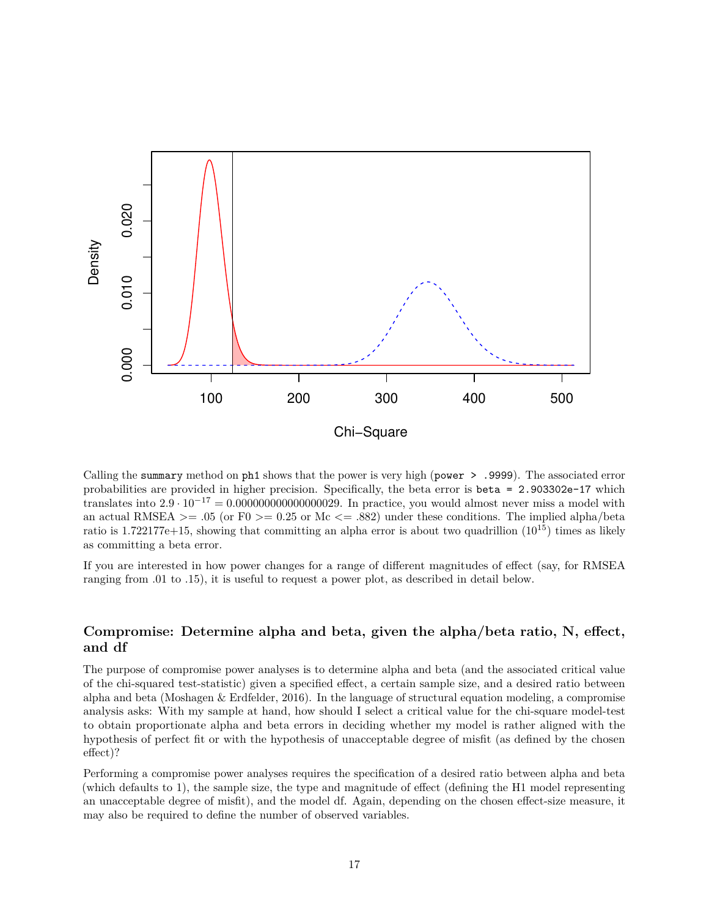

Calling the summary method on ph1 shows that the power is very high (power > .9999). The associated error probabilities are provided in higher precision. Specifically, the beta error is beta = 2.903302e-17 which translates into  $2.9 \cdot 10^{-17} = 0.00000000000000029$ . In practice, you would almost never miss a model with an actual RMSEA  $> = .05$  (or F0  $> = 0.25$  or Mc  $\lt = .882$ ) under these conditions. The implied alpha/beta ratio is 1.722177e+15, showing that committing an alpha error is about two quadrillion (10<sup>15</sup>) times as likely as committing a beta error.

If you are interested in how power changes for a range of different magnitudes of effect (say, for RMSEA ranging from .01 to .15), it is useful to request a [power plot,](#page-0-0) as described in detail [below.](#page-0-0)

### **Compromise: Determine alpha and beta, given the alpha/beta ratio, N, effect, and df**

The purpose of compromise power analyses is to determine alpha and beta (and the associated critical value of the chi-squared test-statistic) given a specified effect, a certain sample size, and a desired ratio between alpha and beta (Moshagen  $\&$  Erdfelder, 2016). In the language of structural equation modeling, a compromise analysis asks: With my sample at hand, how should I select a critical value for the chi-square model-test to obtain proportionate alpha and beta errors in deciding whether my model is rather aligned with the hypothesis of perfect fit or with the hypothesis of unacceptable degree of misfit (as defined by the chosen effect)?

Performing a compromise power analyses requires the specification of a desired ratio between alpha and beta (which defaults to 1), the sample size, the type and magnitude of effect (defining the H1 model representing an unacceptable degree of misfit), and the model df. Again, depending on the chosen effect-size measure, it may also be required to define the number of observed variables.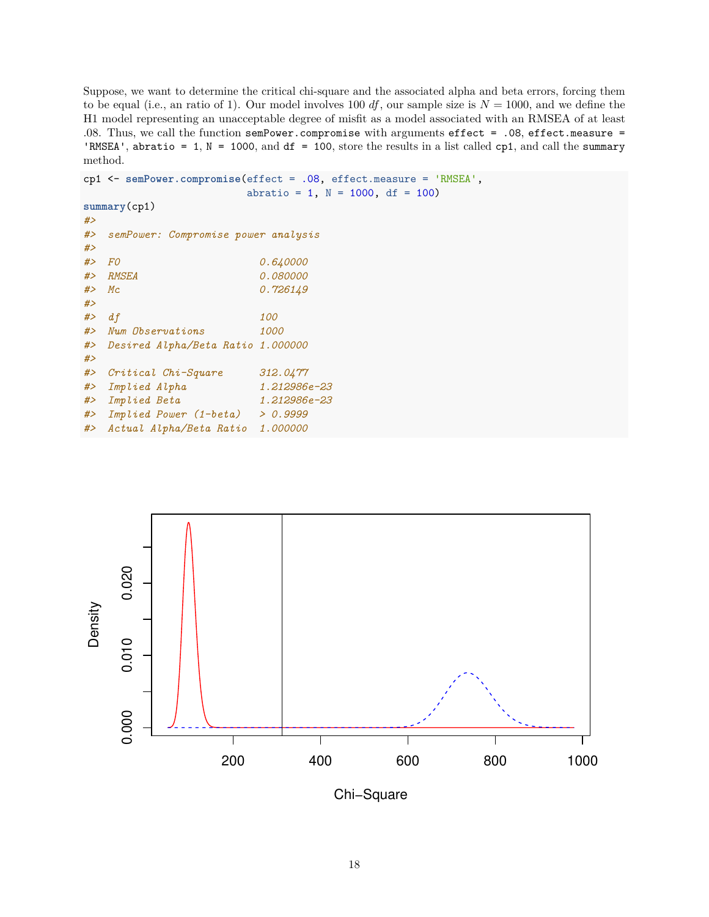Suppose, we want to determine the critical chi-square and the associated alpha and beta errors, forcing them to be equal (i.e., an ratio of 1). Our model involves 100  $df$ , our sample size is  $N = 1000$ , and we define the H1 model representing an unacceptable degree of misfit as a model associated with an RMSEA of at least .08. Thus, we call the function semPower.compromise with arguments effect = .08, effect.measure = 'RMSEA', abratio = 1,  $N = 1000$ , and  $df = 100$ , store the results in a list called cp1, and call the summary method.

```
cp1 <- semPower.compromise(effect = .08, effect.measure = 'RMSEA',
                     abratio = 1, N = 1000, df = 100)
summary(cp1)
#>
#> semPower: Compromise power analysis
#>
#> F0 0.640000
#> RMSEA 0.080000
#> Mc 0.726149
#>
#> df 100
#> Num Observations 1000
#> Desired Alpha/Beta Ratio 1.000000
#>
#> Critical Chi-Square 312.0477
#> Implied Alpha 1.212986e-23
#> Implied Beta 1.212986e-23
#> Implied Power (1-beta) > 0.9999
#> Actual Alpha/Beta Ratio 1.000000
```


Chi−Square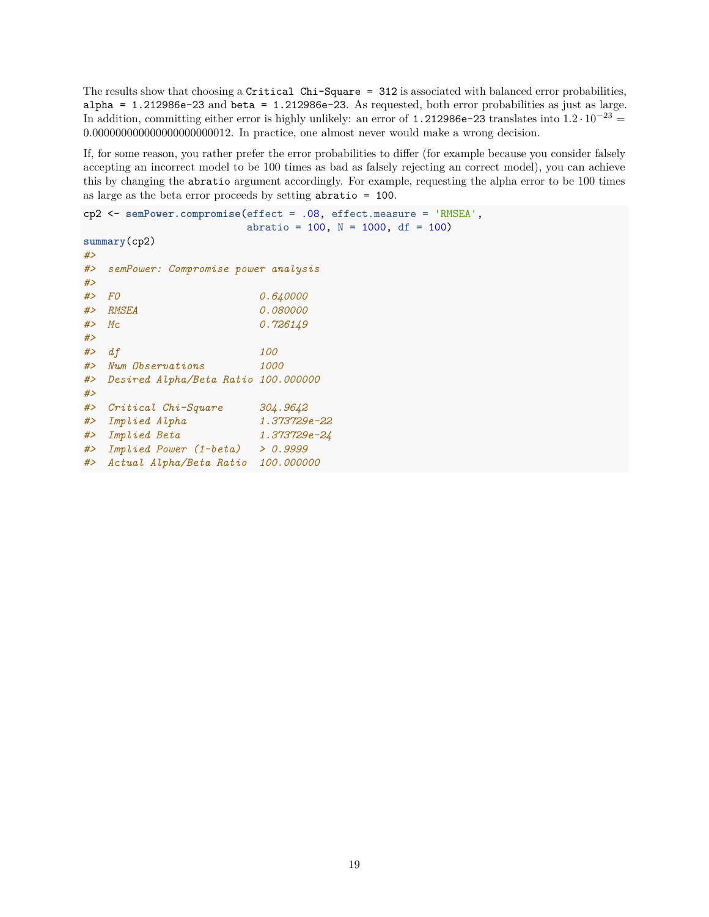The results show that choosing a Critical Chi-Square = 312 is associated with balanced error probabilities,  $alpha = 1.212986e-23$  and  $beta = 1.212986e-23$ . As requested, both error probabilities as just as large. In addition, committing either error is highly unlikely: an error of 1.212986e-23 translates into  $1.2 \cdot 10^{-23}$  = 0*.*000000000000000000000012. In practice, one almost never would make a wrong decision.

If, for some reason, you rather prefer the error probabilities to differ (for example because you consider falsely accepting an incorrect model to be 100 times as bad as falsely rejecting an correct model), you can achieve this by changing the abratio argument accordingly. For example, requesting the alpha error to be 100 times as large as the beta error proceeds by setting abratio = 100.

```
cp2 <- semPower.compromise(effect = .08, effect.measure = 'RMSEA',
                     abratio = 100, N = 1000, df = 100)
summary(cp2)
#>
#> semPower: Compromise power analysis
#>
#> F0 0.640000
#> RMSEA 0.080000
#> Mc 0.726149
#>
#> df 100
#> Num Observations 1000
#> Desired Alpha/Beta Ratio 100.000000
#>
#> Critical Chi-Square 304.9642
#> Implied Alpha 1.373729e-22
#> Implied Beta 1.373729e-24
#> Implied Power (1-beta) > 0.9999
#> Actual Alpha/Beta Ratio 100.000000
```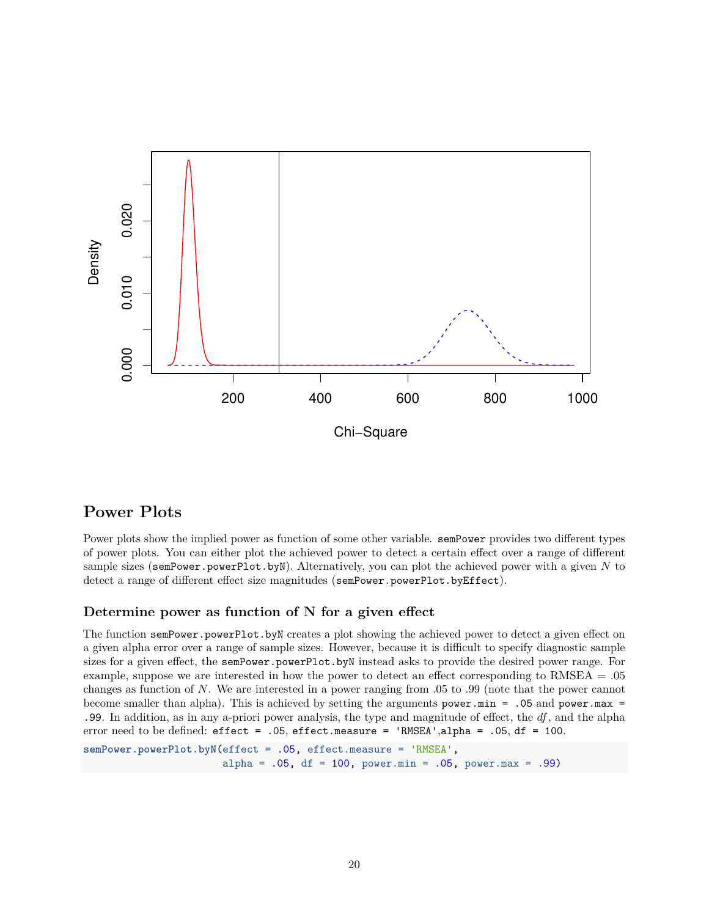

## **Power Plots**

Power plots show the implied power as function of some other variable. semPower provides two different types of power plots. You can either plot the achieved power to detect a certain effect over a range of different sample sizes (semPower.powerPlot.byN). Alternatively, you can plot the achieved power with a given *N* to detect a range of different effect size magnitudes (semPower.powerPlot.byEffect).

### **Determine power as function of N for a given effect**

The function semPower.powerPlot.byN creates a plot showing the achieved power to detect a given effect on a given alpha error over a range of sample sizes. However, because it is difficult to specify diagnostic sample sizes for a given effect, the semPower.powerPlot.byN instead asks to provide the desired power range. For example, suppose we are interested in how the power to detect an effect corresponding to RMSEA = .05 changes as function of *N*. We are interested in a power ranging from .05 to .99 (note that the power cannot become smaller than alpha). This is achieved by setting the arguments power.min = .05 and power.max = .99. In addition, as in any a-priori power analysis, the type and magnitude of effect, the *df*, and the alpha error need to be defined:  $effect = .05$ ,  $effect \text{.measure} = 'RMSEA', alpha = .05, df = 100$ .

```
semPower.powerPlot.byN(effect = .05, effect.measure = 'RMSEA',
                       alpha = .05, df = 100, power.min = .05, power.max = .99)
```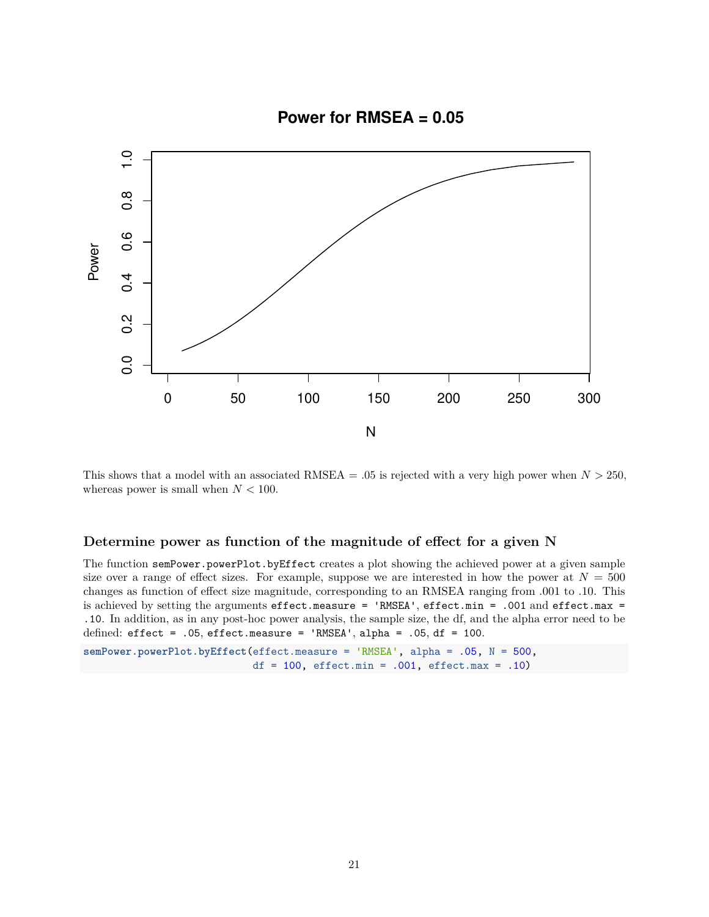

This shows that a model with an associated RMSEA  $= .05$  is rejected with a very high power when  $N > 250$ , whereas power is small when *N <* 100.

### **Determine power as function of the magnitude of effect for a given N**

The function semPower.powerPlot.byEffect creates a plot showing the achieved power at a given sample size over a range of effect sizes. For example, suppose we are interested in how the power at  $N = 500$ changes as function of effect size magnitude, corresponding to an RMSEA ranging from .001 to .10. This is achieved by setting the arguments effect.measure = 'RMSEA', effect.min = .001 and effect.max = .10. In addition, as in any post-hoc power analysis, the sample size, the df, and the alpha error need to be defined:  $effect = .05$ ,  $effect \text{.measure} = 'RMSEA', alpha = .05, df = 100.$ 

```
semPower.powerPlot.byEffect(effect.measure = 'RMSEA', alpha = .05, N = 500,
                            df = 100, effect.min = .001, effect.max = .10)
```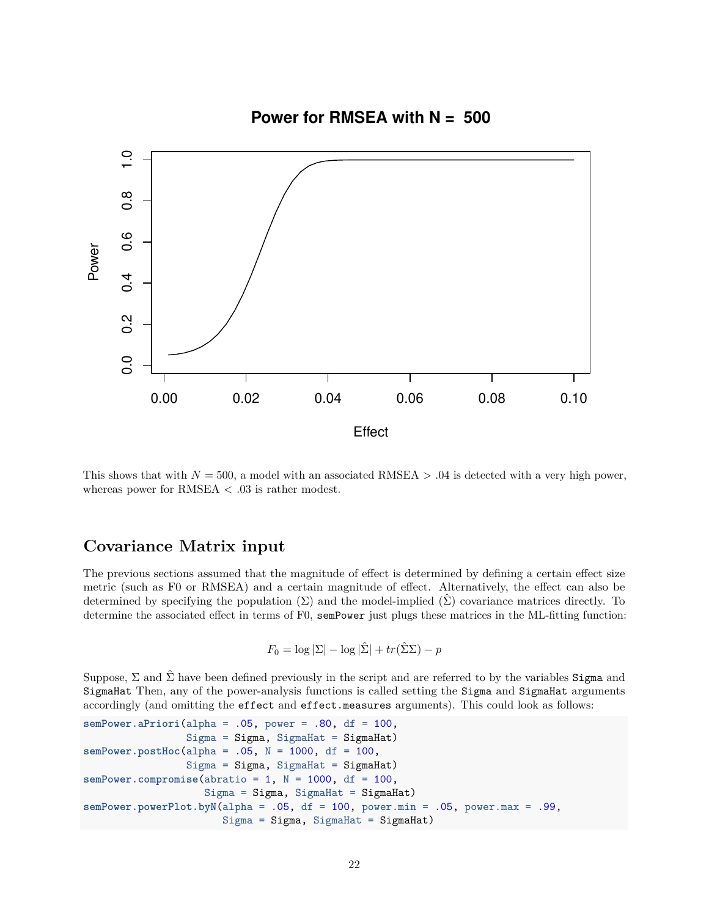

This shows that with  $N = 500$ , a model with an associated RMSEA  $> .04$  is detected with a very high power, whereas power for  $RMSEA < .03$  is rather modest.

## **Covariance Matrix input**

The previous sections assumed that the magnitude of effect is determined by defining a certain effect size metric (such as F0 or RMSEA) and a certain magnitude of effect. Alternatively, the effect can also be determined by specifying the population  $(\Sigma)$  and the model-implied  $(\Sigma)$  covariance matrices directly. To determine the associated effect in terms of F0, semPower just plugs these matrices in the ML-fitting function:

$$
F_0 = \log |\Sigma| - \log |\hat{\Sigma}| + tr(\hat{\Sigma}\Sigma) - p
$$

Suppose,  $\Sigma$  and  $\hat{\Sigma}$  have been defined previously in the script and are referred to by the variables Sigma and SigmaHat Then, any of the power-analysis functions is called setting the Sigma and SigmaHat arguments accordingly (and omitting the effect and effect.measures arguments). This could look as follows:

```
semPower.aPriori(alpha = .05, power = .80, df = 100,
                 Sigma = Sigma, SigmaHat = SigmaHat)
semPower.postHoc(alpha = .05, N = 1000, df = 100,
                 Sigma = Sigma, SigmaHat = SigmaHat)
semPower.compromise(abratio = 1, N = 1000, df = 100,
                    Sigma = Sigma, SigmaHat = SigmaHat)
semPower.powerPlot.byN(alpha = .05, df = 100, power.min = .05, power.max = .99,
                       Sigma = Sigma, SigmaHat = SigmaHat)
```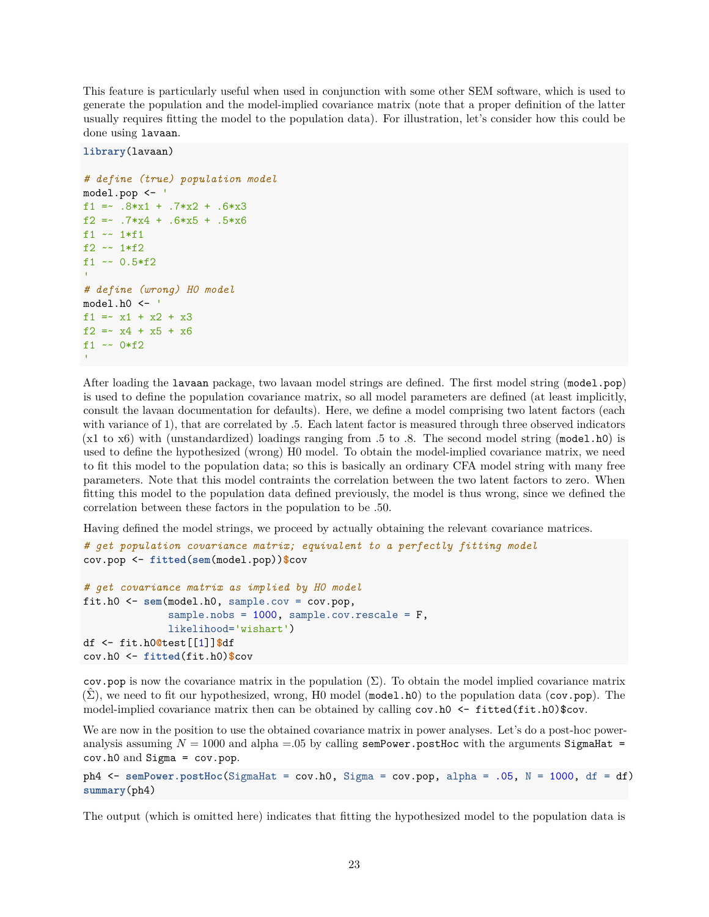This feature is particularly useful when used in conjunction with some other SEM software, which is used to generate the population and the model-implied covariance matrix (note that a proper definition of the latter usually requires fitting the model to the population data). For illustration, let's consider how this could be done using lavaan.

**library**(lavaan)

```
# define (true) population model
model.pop <- '
f1 = -8*x1 + .7*x2 + .6*x3f2 =~ .7*x4 + .6*x5 + .5*x6
f1 ~~ 1*f1
f2 ~- 1*f2
f1 ~~ 0.5*f2
'# define (wrong) H0 model
model.h0 <- '
f1 = x1 + x2 + x3f2 =~ x4 + x5 + x6
f1 ~~ 0*f2
```
After loading the lavaan package, two lavaan model strings are defined. The first model string (model.pop) is used to define the population covariance matrix, so all model parameters are defined (at least implicitly, consult the lavaan documentation for defaults). Here, we define a model comprising two latent factors (each with variance of 1), that are correlated by .5. Each latent factor is measured through three observed indicators (x1 to x6) with (unstandardized) loadings ranging from .5 to .8. The second model string (model.h0) is used to define the hypothesized (wrong) H0 model. To obtain the model-implied covariance matrix, we need to fit this model to the population data; so this is basically an ordinary CFA model string with many free parameters. Note that this model contraints the correlation between the two latent factors to zero. When fitting this model to the population data defined previously, the model is thus wrong, since we defined the correlation between these factors in the population to be .50.

Having defined the model strings, we proceed by actually obtaining the relevant covariance matrices.

```
# get population covariance matrix; equivalent to a perfectly fitting model
cov.pop <- fitted(sem(model.pop))$cov
# get covariance matrix as implied by H0 model
fit.h0 <- sem(model.h0, sample.cov = cov.pop,
              sample.nobs = 1000, sample.cov.rescale = F,
              likelihood='wishart')
df <- fit.h0@test[[1]]$df
cov.h0 <- fitted(fit.h0)$cov
```
cov.pop is now the covariance matrix in the population  $(\Sigma)$ . To obtain the model implied covariance matrix  $(\Sigma)$ , we need to fit our hypothesized, wrong, H0 model (model.h0) to the population data (cov.pop). The model-implied covariance matrix then can be obtained by calling cov.h0 <- fitted(fit.h0)\$cov.

We are now in the position to use the obtained covariance matrix in power analyses. Let's do a post-hoc poweranalysis assuming  $N = 1000$  and alpha = 05 by calling semPower.postHoc with the arguments SigmaHat = cov.h0 and Sigma = cov.pop.

```
ph4 <- semPower.postHoc(SigmaHat = cov.h0, Sigma = cov.pop, alpha = .05, N = 1000, df = df)
summary(ph4)
```
The output (which is omitted here) indicates that fitting the hypothesized model to the population data is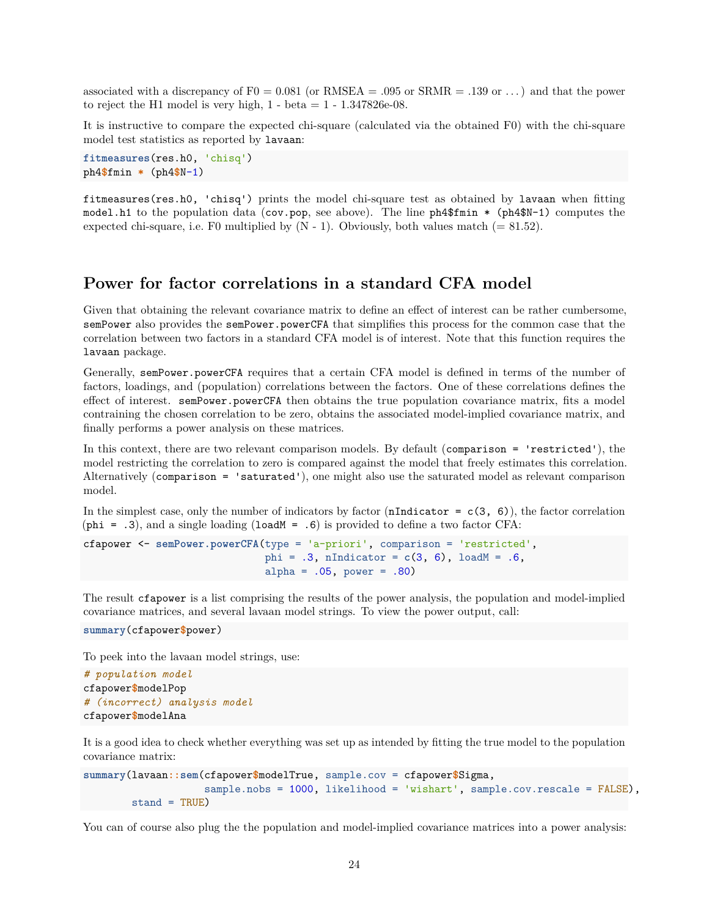associated with a discrepancy of  $F0 = 0.081$  (or RMSEA = .095 or SRMR = .139 or ...) and that the power to reject the H1 model is very high,  $1 - \text{beta} = 1 - 1.347826\text{e}-08$ .

It is instructive to compare the expected chi-square (calculated via the obtained F0) with the chi-square model test statistics as reported by lavaan:

```
fitmeasures(res.h0, 'chisq')
ph4$fmin * (ph4$N-1)
```
fitmeasures(res.h0, 'chisq') prints the model chi-square test as obtained by lavaan when fitting model.h1 to the population data (cov.pop, see above). The line ph4\$fmin \* (ph4\$N-1) computes the expected chi-square, i.e. F0 multiplied by  $(N - 1)$ . Obviously, both values match  $(= 81.52)$ .

## **Power for factor correlations in a standard CFA model**

Given that obtaining the relevant covariance matrix to define an effect of interest can be rather cumbersome, semPower also provides the semPower.powerCFA that simplifies this process for the common case that the correlation between two factors in a standard CFA model is of interest. Note that this function requires the lavaan package.

Generally, semPower.powerCFA requires that a certain CFA model is defined in terms of the number of factors, loadings, and (population) correlations between the factors. One of these correlations defines the effect of interest. semPower.powerCFA then obtains the true population covariance matrix, fits a model contraining the chosen correlation to be zero, obtains the associated model-implied covariance matrix, and finally performs a power analysis on these matrices.

In this context, there are two relevant comparison models. By default (comparison = 'restricted'), the model restricting the correlation to zero is compared against the model that freely estimates this correlation. Alternatively (comparison = 'saturated'), one might also use the saturated model as relevant comparison model.

In the simplest case, only the number of indicators by factor (nIndicator =  $c(3, 6)$ ), the factor correlation  $(\text{phi} = .3)$ , and a single loading  $(\text{loadM} = .6)$  is provided to define a two factor CFA:

```
cfapower <- semPower.powerCFA(type = 'a-priori', comparison = 'restricted',
                              phi = .3, nIndicator = c(3, 6), loadM = .6,
                              alpha = .05, power = .80)
```
The result cfapower is a list comprising the results of the power analysis, the population and model-implied covariance matrices, and several lavaan model strings. To view the power output, call:

```
summary(cfapower$power)
```
To peek into the lavaan model strings, use:

```
# population model
cfapower$modelPop
# (incorrect) analysis model
cfapower$modelAna
```
It is a good idea to check whether everything was set up as intended by fitting the true model to the population covariance matrix:

```
summary(lavaan::sem(cfapower$modelTrue, sample.cov = cfapower$Sigma,
                    sample.nobs = 1000, likelihood = 'wishart', sample.cov.rescale = FALSE),
        stand = TRUF.)
```
You can of course also plug the the population and model-implied covariance matrices into a power analysis: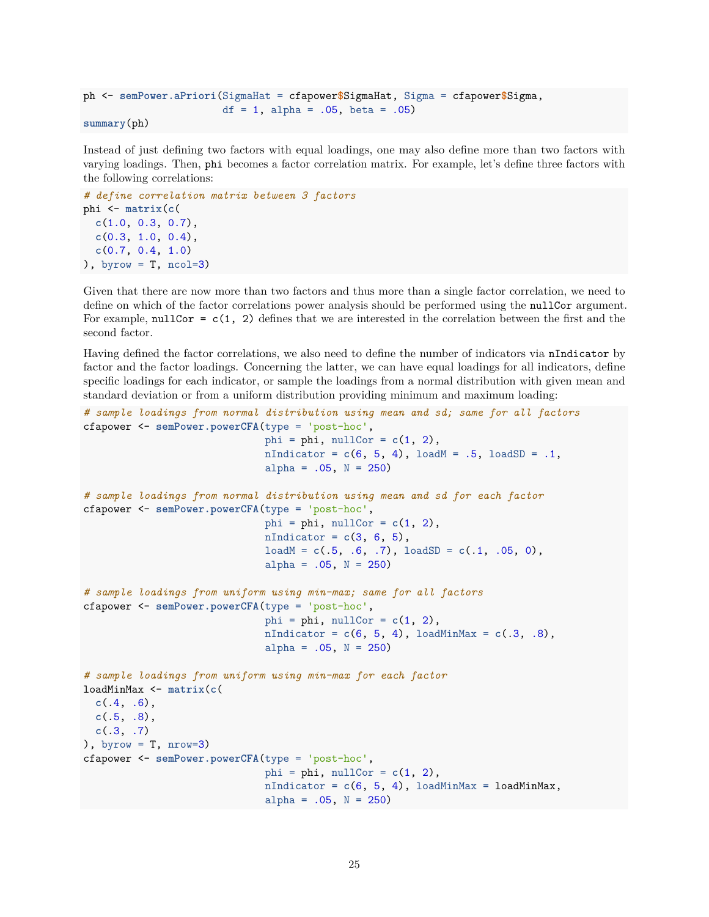```
ph <- semPower.aPriori(SigmaHat = cfapower$SigmaHat, Sigma = cfapower$Sigma,
                       df = 1, alpha = .05, beta = .05)
```

```
summary(ph)
```
Instead of just defining two factors with equal loadings, one may also define more than two factors with varying loadings. Then, phi becomes a factor correlation matrix. For example, let's define three factors with the following correlations:

```
# define correlation matrix between 3 factors
phi <- matrix(c(
 c(1.0, 0.3, 0.7),
 c(0.3, 1.0, 0.4),
 c(0.7, 0.4, 1.0)
), byrow = T, ncol=3)
```
Given that there are now more than two factors and thus more than a single factor correlation, we need to define on which of the factor correlations power analysis should be performed using the nullCor argument. For example,  $nullCor = c(1, 2)$  defines that we are interested in the correlation between the first and the second factor.

Having defined the factor correlations, we also need to define the number of indicators via nIndicator by factor and the factor loadings. Concerning the latter, we can have equal loadings for all indicators, define specific loadings for each indicator, or sample the loadings from a normal distribution with given mean and standard deviation or from a uniform distribution providing minimum and maximum loading:

```
# sample loadings from normal distribution using mean and sd; same for all factors
cfapower <- semPower.powerCFA(type = 'post-hoc',
                              phi = phi, nullCor = c(1, 2),
                              nIndicator = c(6, 5, 4), loadM = .5, loadSD = .1,
                              alpha = .05, N = 250)
# sample loadings from normal distribution using mean and sd for each factor
cfapower <- semPower.powerCFA(type = 'post-hoc',
                              phi = phi, nullCor = c(1, 2),
                              nIndicator = c(3, 6, 5),loadM = c(.5, .6, .7), loadSD = c(.1, .05, 0),
                              alpha = .05, N = 250)
# sample loadings from uniform using min-max; same for all factors
cfapower <- semPower.powerCFA(type = 'post-hoc',
                              phi = phi, nullCor = c(1, 2),
                              nIndicator = c(6, 5, 4), loadMinMax = c(.3, .8),
                              alpha = .05, N = 250)
# sample loadings from uniform using min-max for each factor
loadMinMax <- matrix(c(
  c(.4, .6),
  c(.5, .8),
 c(.3, .7)
), byrow = T, nrow=3)
cfapower <- semPower.powerCFA(type = 'post-hoc',
                              phi = phi, nullCor = c(1, 2),
                              nIndicator = c(6, 5, 4), loadMinMax = loadMinMax,
                              alpha = .05, N = 250)
```